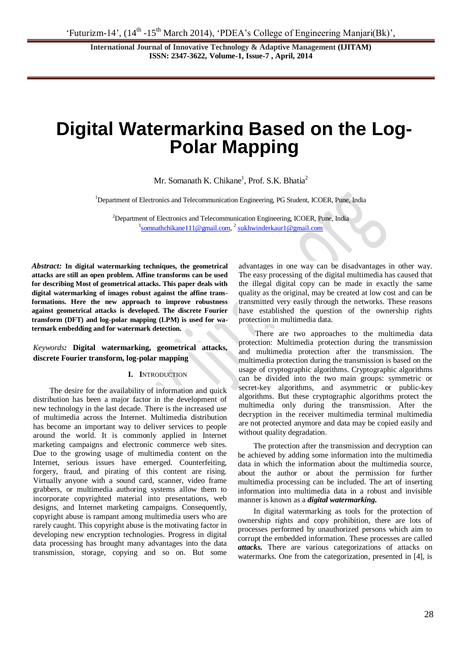# **Digital Watermarking Based on the Log-Polar Mapping**

Mr. Somanath K. Chikane<sup>1</sup>, Prof. S.K. Bhatia<sup>2</sup>

<sup>1</sup>Department of Electronics and Telecommunication Engineering, PG Student, ICOER, Pune, India

<sup>2</sup>Department of Electronics and Telecommunication Engineering, ICOER, Pune, India <sup>1</sup>somnathchikane 111@gmail.com, <sup>2</sup> [sukhwinderkaur1@gmail.com](mailto:sukhwinderkaur1@gmail.com)

*Abstract:* **In digital watermarking techniques, the geometrical attacks are still an open problem. Affine transforms can be used for describing Most of geometrical attacks. This paper deals with digital watermarking of images robust against the affine transformations. Here the new approach to improve robustness against geometrical attacks is developed. The discrete Fourier transform (DFT) and log-polar mapping (LPM) is used for watermark embedding and for watermark detection.**

# *Keywords:* **Digital watermarking, geometrical attacks, discrete Fourier transform, log-polar mapping**

## **I. I**NTRODUCTION

The desire for the availability of information and quick distribution has been a major factor in the development of new technology in the last decade. There is the increased use of multimedia across the Internet. Multimedia distribution has become an important way to deliver services to people around the world. It is commonly applied in Internet marketing campaigns and electronic commerce web sites. Due to the growing usage of multimedia content on the Internet, serious issues have emerged. Counterfeiting, forgery, fraud, and pirating of this content are rising. Virtually anyone with a sound card, scanner, video frame grabbers, or multimedia authoring systems allow them to incorporate copyrighted material into presentations, web designs, and Internet marketing campaigns. Consequently, copyright abuse is rampant among multimedia users who are rarely caught. This copyright abuse is the motivating factor in developing new encryption technologies. Progress in digital data processing has brought many advantages into the data transmission, storage, copying and so on. But some

advantages in one way can be disadvantages in other way. The easy processing of the digital multimedia has caused that the illegal digital copy can be made in exactly the same quality as the original, may be created at low cost and can be transmitted very easily through the networks. These reasons have established the question of the ownership rights protection in multimedia data.

There are two approaches to the multimedia data protection: Multimedia protection during the transmission and multimedia protection after the transmission. The multimedia protection during the transmission is based on the usage of cryptographic algorithms. Cryptographic algorithms can be divided into the two main groups: symmetric or secret-key algorithms, and asymmetric or public-key algorithms. But these cryptographic algorithms protect the multimedia only during the transmission. After the decryption in the receiver multimedia terminal multimedia are not protected anymore and data may be copied easily and without quality degradation.

The protection after the transmission and decryption can be achieved by adding some information into the multimedia data in which the information about the multimedia source, about the author or about the permission for further multimedia processing can be included. The art of inserting information into multimedia data in a robust and invisible manner is known as a *digital watermarking.*

In digital watermarking as tools for the protection of ownership rights and copy prohibition, there are lots of processes performed by unauthorized persons which aim to corrupt the embedded information. These processes are called *attacks.* There are various categorizations of attacks on watermarks. One from the categorization, presented in [4], is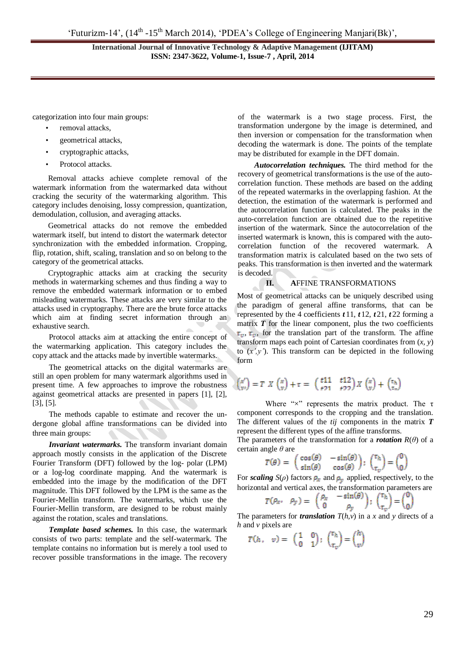categorization into four main groups:

- removal attacks,
- geometrical attacks,
- cryptographic attacks,
- Protocol attacks.

Removal attacks achieve complete removal of the watermark information from the watermarked data without cracking the security of the watermarking algorithm. This category includes denoising, lossy compression, quantization, demodulation, collusion, and averaging attacks.

Geometrical attacks do not remove the embedded watermark itself, but intend to distort the watermark detector synchronization with the embedded information. Cropping, flip, rotation, shift, scaling, translation and so on belong to the category of the geometrical attacks.

Cryptographic attacks aim at cracking the security methods in watermarking schemes and thus finding a way to remove the embedded watermark information or to embed misleading watermarks. These attacks are very similar to the attacks used in cryptography. There are the brute force attacks which aim at finding secret information through an exhaustive search.

Protocol attacks aim at attacking the entire concept of the watermarking application. This category includes the copy attack and the attacks made by invertible watermarks.

The geometrical attacks on the digital watermarks are still an open problem for many watermark algorithms used in present time. A few approaches to improve the robustness against geometrical attacks are presented in papers [1], [2], [3], [5].

The methods capable to estimate and recover the undergone global affine transformations can be divided into three main groups:

*Invariant watermarks.* The transform invariant domain approach mostly consists in the application of the Discrete Fourier Transform (DFT) followed by the log- polar (LPM) or a log-log coordinate mapping. And the watermark is embedded into the image by the modification of the DFT magnitude. This DFT followed by the LPM is the same as the Fourier-Mellin transform. The watermarks, which use the Fourier-Mellin transform, are designed to be robust mainly against the rotation, scales and translations.

*Template based schemes.* In this case, the watermark consists of two parts: template and the self-watermark. The template contains no information but is merely a tool used to recover possible transformations in the image. The recovery of the watermark is a two stage process. First, the transformation undergone by the image is determined, and then inversion or compensation for the transformation when decoding the watermark is done. The points of the template may be distributed for example in the DFT domain.

*Autocorrelation techniques.* The third method for the recovery of geometrical transformations is the use of the autocorrelation function. These methods are based on the adding of the repeated watermarks in the overlapping fashion. At the detection, the estimation of the watermark is performed and the autocorrelation function is calculated. The peaks in the auto-correlation function are obtained due to the repetitive insertion of the watermark. Since the autocorrelation of the inserted watermark is known, this is compared with the autocorrelation function of the recovered watermark. A transformation matrix is calculated based on the two sets of peaks. This transformation is then inverted and the watermark is decoded.

# **II. A**FFINE TRANSFORMATIONS

Most of geometrical attacks can be uniquely described using the paradigm of general affine transforms, that can be represented by the 4 coefficients *t* 11, *t* 12, *t* 21, *t* 22 forming a matrix  $T$  for the linear component, plus the two coefficients  $\tau_{v}$ ,  $\tau_{v}$ , for the translation part of the transform. The affine transform maps each point of Cartesian coordinates from (*x, y*) to (*x',y'*). This transform can be depicted in the following form

$$
\begin{pmatrix} x' \\ y' \end{pmatrix} = T \ X \begin{pmatrix} x \\ y \end{pmatrix} + \tau = \begin{pmatrix} t11 & t12 \\ t21 & t22 \end{pmatrix} X \begin{pmatrix} x \\ y \end{pmatrix} + \begin{pmatrix} \tau_h \\ \tau_m \end{pmatrix}
$$

Where " $\times$ " represents the matrix product. The  $\tau$ component corresponds to the cropping and the translation. The different values of the *tij* components in the matrix *T*  represent the different types of the affine transforms.

The parameters of the transformation for a *rotation*  $R(\theta)$  of a certain angle *θ* are

$$
T(\theta) = \begin{pmatrix} \cos(\theta) & -\sin(\theta) \\ \sin(\theta) & \cos(\theta) \end{pmatrix}; \begin{pmatrix} \tau_h \\ \tau_v \end{pmatrix} = \begin{pmatrix} 0 \\ 0 \end{pmatrix}
$$

For *scaling*  $S(\rho)$  factors  $\rho_x$  and  $\rho_y$  applied, respectively, to the horizontal and vertical axes, the transformation parameters are

$$
T(\rho_x, \quad \rho_y) = \begin{pmatrix} \rho_x & -\sin(\theta) \\ 0 & \rho_y \end{pmatrix}; \begin{pmatrix} \tau_h \\ \tau_y \end{pmatrix} = \begin{pmatrix} 0 \\ 0 \end{pmatrix}
$$

The parameters for *translation*  $T(h, v)$  in a *x* and *y* directs of a *h* and *v* pixels are

$$
T(h, v) = \begin{pmatrix} 1 & 0 \\ 0 & 1 \end{pmatrix}; \begin{pmatrix} \tau_h \\ \tau_v \end{pmatrix} = \begin{pmatrix} h \\ v \end{pmatrix}
$$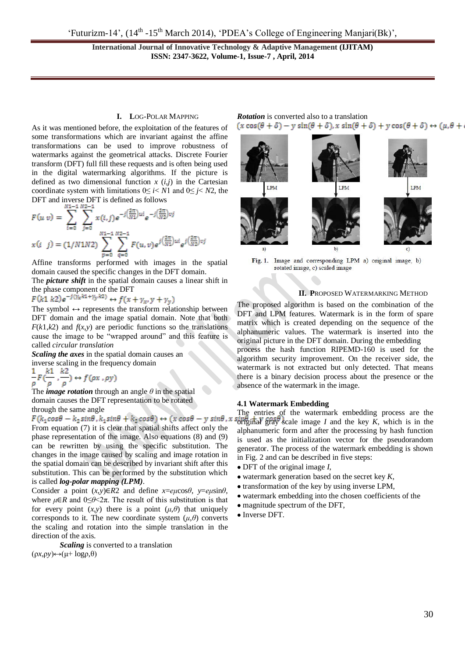### **I. L**OG-POLAR MAPPING

As it was mentioned before, the exploitation of the features of some transformations which are invariant against the affine transformations can be used to improve robustness of watermarks against the geometrical attacks. Discrete Fourier transform (DFT) full fill these requests and is often being used in the digital watermarking algorithms. If the picture is defined as two dimensional function  $x(i,j)$  in the Cartesian coordinate system with limitations  $0 \le i \le N1$  and  $0 \le j \le N2$ , the DFT and inverse DFT is defined as follows

$$
F(u \ v) = \sum_{i=0}^{N1-1} \sum_{j=0}^{N2-1} x(i,j) e^{-j(\frac{2\pi}{N1})ui} e^{-j(\frac{2\pi}{N2})vj}
$$
  

$$
x(i \ j) = (1/N1N2) \sum_{p=0}^{N1-1} \sum_{q=0}^{N2-1} F(u,v) e^{j(\frac{2\pi}{N1})ui} e^{j(\frac{2\pi}{N2})vj}
$$

Affine transforms performed with images in the spatial domain caused the specific changes in the DFT domain. The *picture shift* in the spatial domain causes a linear shift in

the phase component of the DFT

$$
F(k1 k2) e^{-j\left(\frac{x}{2k+1}\right)} \leftrightarrow f(x + \gamma_x, y + \gamma_y)
$$

The symbol  $\leftrightarrow$  represents the transform relationship between DFT domain and the image spatial domain. Note that both  $F(k1,k2)$  and  $f(x,y)$  are periodic functions so the translations cause the image to be "wrapped around" and this feature is called *circular translation*

*Scaling the axes* in the spatial domain causes an

inverse scaling in the frequency domain

$$
\frac{1}{\rho}F(\frac{k1}{\rho},\frac{k2}{\rho})\leftrightarrow f(\rho x,\rho y)
$$

The *image rotation* through an angle *θ* in the spatial domain causes the DFT representation to be rotated through the same angle

 $F(k_1 \cos\theta - k_2 \sin\theta, k_1 \sin\theta + k_2 \cos\theta) \leftrightarrow (x \cos\theta - y \sin\theta, x$ From equation (7) it is clear that spatial shifts affect only the phase representation of the image. Also equations (8) and (9) can be rewritten by using the specific substitution. The changes in the image caused by scaling and image rotation in the spatial domain can be described by invariant shift after this substitution. This can be performed by the substitution which is called *log-polar mapping (LPM)*.

Consider a point  $(x, y) \in R2$  and define  $x = e\mu cos\theta$ ,  $y = e\mu sin\theta$ , where  $\mu \in R$  and  $0 \leq \theta \leq 2\pi$ . The result of this substitution is that for every point  $(x,y)$  there is a point  $(\mu,\theta)$  that uniquely corresponds to it. The new coordinate system  $(\mu, \theta)$  converts the scaling and rotation into the simple translation in the direction of the axis.

*Scaling* is converted to a translation  $(\rho x, \rho y) \leftrightarrow (\mu + \log \rho, \theta)$ 

*Rotation* is converted also to a translation<br> $(x \cos(\theta + \delta) - y \sin(\theta + \delta), x \sin(\theta + \delta) + y \cos(\theta + \delta) \leftrightarrow (\mu, \theta + \delta)$ 



Fig. 1. Image and corresponding LPM a) original image, b) rotated image, c) scaled image

#### **II. P**ROPOSED WATERMARKING METHOD

The proposed algorithm is based on the combination of the DFT and LPM features. Watermark is in the form of spare matrix which is created depending on the sequence of the alphanumeric values. The watermark is inserted into the original picture in the DFT domain. During the embedding process the hash function RIPEMD-160 is used for the algorithm security improvement. On the receiver side, the watermark is not extracted but only detected. That means there is a binary decision process about the presence or the absence of the watermark in the image.

#### **4.1 Watermark Embedding**

The entries of the watermark embedding process are the  $\frac{\sin\theta}{\sin\theta}$   $\frac{\sin\theta}{\sin\theta}$  scale image *I* and the key *K*, which is in the alphanumeric form and after the processing by hash function is used as the initialization vector for the pseudorandom generator. The process of the watermark embedding is shown in Fig. 2 and can be described in five steps:

- DFT of the original image *I*,
- watermark generation based on the secret key *K*,
- transformation of the key by using inverse LPM,
- watermark embedding into the chosen coefficients of the
- magnitude spectrum of the DFT,
- Inverse DFT.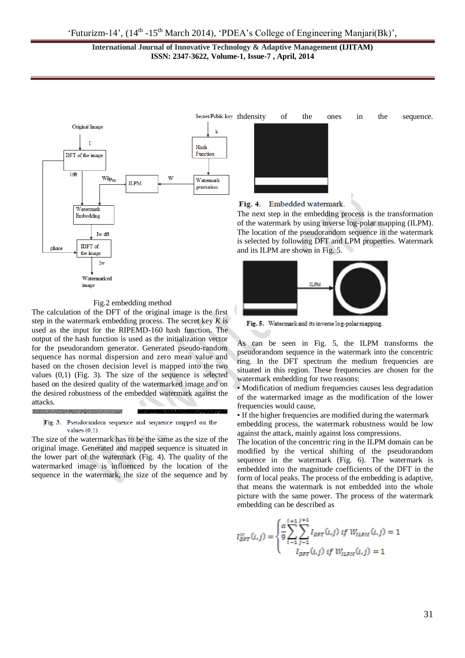

Fig.2 embedding method

The calculation of the DFT of the original image is the first step in the watermark embedding process. The secret key *K* is used as the input for the RIPEMD-160 hash function. The output of the hash function is used as the initialization vector for the pseudorandom generator. Generated pseudo-random sequence has normal dispersion and zero mean value and based on the chosen decision level is mapped into the two values (0,1) (Fig. 3). The size of the sequence is selected based on the desired quality of the watermarked image and on the desired robustness of the embedded watermark against the attacks.

#### Fig. 3. Pseudorandom sequence and sequence mapped on the values  $(0,1)$ .

**Construction of the Construction of the Construction** 

The size of the watermark has to be the same as the size of the original image. Generated and mapped sequence is situated in the lower part of the watermark (Fig. 4). The quality of the watermarked image is influenced by the location of the sequence in the watermark, the size of the sequence and by





The next step in the embedding process is the transformation of the watermark by using inverse log-polar mapping (ILPM). The location of the pseudorandom sequence in the watermark is selected by following DFT and LPM properties. Watermark and its ILPM are shown in Fig. 5.



Fig. 5. Watermark and its inverse log-polar mapping.

As can be seen in Fig. 5, the ILPM transforms the pseudorandom sequence in the watermark into the concentric ring. In the DFT spectrum the medium frequencies are situated in this region. These frequencies are chosen for the watermark embedding for two reasons:

• Modification of medium frequencies causes less degradation of the watermarked image as the modification of the lower frequencies would cause,

• If the higher frequencies are modified during the watermark embedding process, the watermark robustness would be low against the attack, mainly against loss compressions.

The location of the concentric ring in the ILPM domain can be modified by the vertical shifting of the pseudorandom sequence in the watermark (Fig. 6). The watermark is embedded into the magnitude coefficients of the DFT in the form of local peaks. The process of the embedding is adaptive, that means the watermark is not embedded into the whole picture with the same power. The process of the watermark embedding can be described as

$$
I_{DFT}^w(i,j) = \begin{cases} \frac{\alpha}{9} \sum_{i=1}^{i+1} \sum_{j=1}^{j+1} I_{DFT}(i,j) \; if \; W_{ILPM}(i,j) = 1 \\ I_{DFT}(i,j) \; if \; W_{ILPM}(i,j) = 1 \end{cases}
$$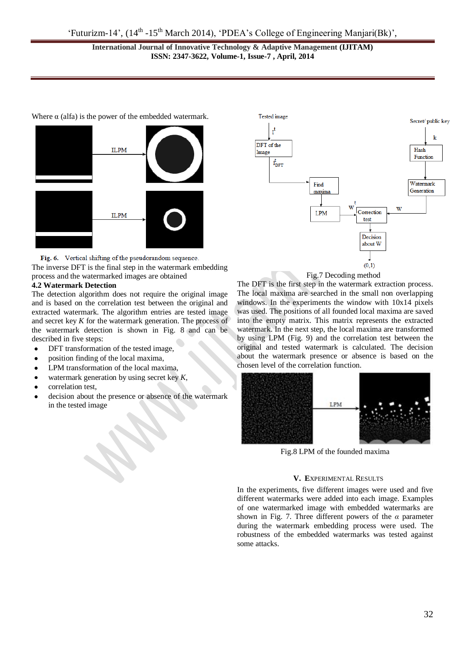

Fig. 6. Vertical shifting of the pseudorandom sequence. The inverse DFT is the final step in the watermark embedding process and the watermarked images are obtained

## **4.2 Watermark Detection**

The detection algorithm does not require the original image and is based on the correlation test between the original and extracted watermark. The algorithm entries are tested image and secret key *K* for the watermark generation. The process of the watermark detection is shown in Fig. 8 and can be described in five steps:

- DFT transformation of the tested image,  $\bullet$
- position finding of the local maxima,  $\bullet$
- LPM transformation of the local maxima,  $\bullet$
- watermark generation by using secret key *K*,  $\bullet$
- correlation test,  $\bullet$
- decision about the presence or absence of the watermark  $\bullet$ in the tested image



Fig.7 Decoding method

The DFT is the first step in the watermark extraction process. The local maxima are searched in the small non overlapping windows. In the experiments the window with 10x14 pixels was used. The positions of all founded local maxima are saved into the empty matrix. This matrix represents the extracted watermark. In the next step, the local maxima are transformed by using LPM (Fig. 9) and the correlation test between the original and tested watermark is calculated. The decision about the watermark presence or absence is based on the chosen level of the correlation function.



Fig.8 LPM of the founded maxima

## **V. E**XPERIMENTAL RESULTS

In the experiments, five different images were used and five different watermarks were added into each image. Examples of one watermarked image with embedded watermarks are shown in Fig. 7. Three different powers of the *α* parameter during the watermark embedding process were used. The robustness of the embedded watermarks was tested against some attacks.